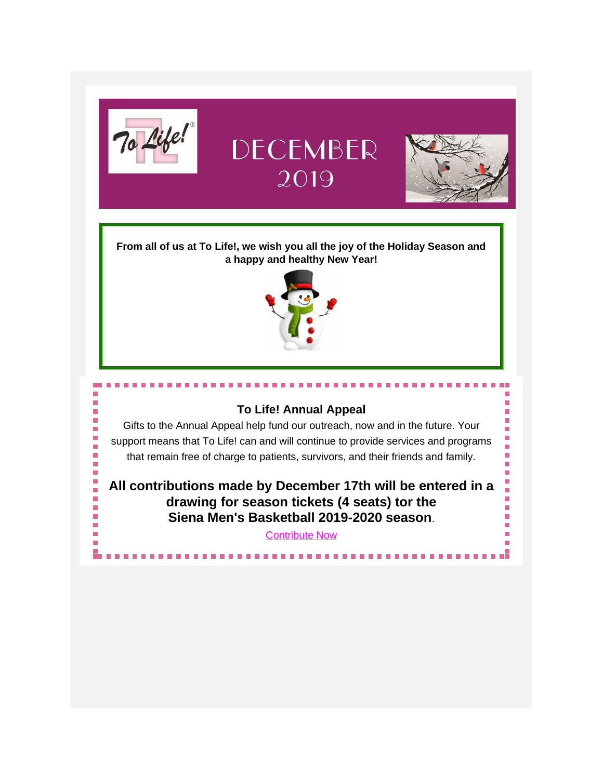

٠

# DECEMBER 2019



**From all of us at To Life!, we wish you all the joy of the Holiday Season and a happy and healthy New Year!**



## **To Life! Annual Appeal**

Gifts to the Annual Appeal help fund our outreach, now and in the future. Your support means that To Life! can and will continue to provide services and programs that remain free of charge to patients, survivors, and their friends and family.

**All contributions made by December 17th will be entered in a drawing for season tickets (4 seats) tor the Siena Men's Basketball 2019-2020 season**.

*[Contribute Now](https://tolife.org/index.php/donating-and-fundraising-events/giving/annual-appeal)*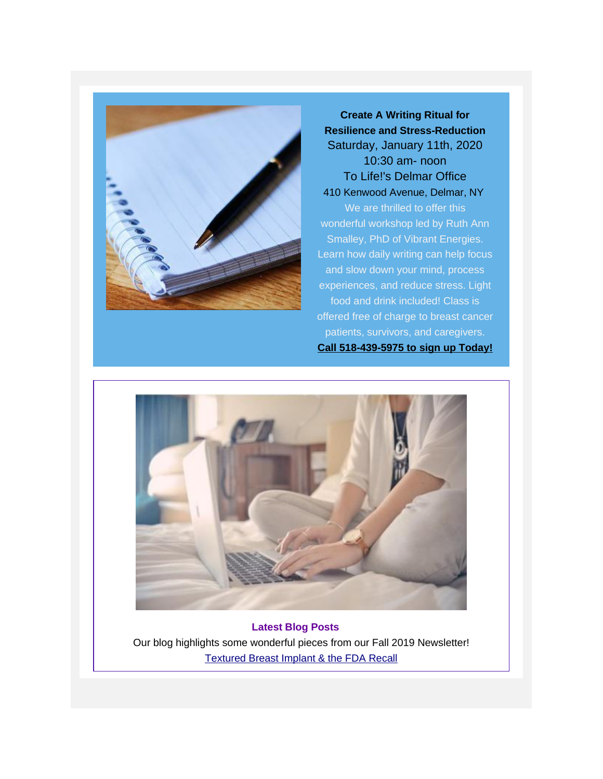

**Create A Writing Ritual for Resilience and Stress-Reduction** *Saturday, January 11th, 2020 10:30 am- noon To Life!'s Delmar Office 410 Kenwood Avenue, Delmar, NY* We are thrilled to offer this wonderful workshop led by Ruth Ann Smalley, PhD of Vibrant Energies. Learn how daily writing can help focus and slow down your mind, process experiences, and reduce stress. Light food and drink included! Class is offered free of charge to breast cancer patients, survivors, and caregivers. **Call 518-439-5975 to sign up Today!**



**Latest Blog Posts** Our blog highlights some wonderful pieces from our Fall 2019 Newsletter! [Textured Breast Implant & the FDA Recall](https://gallery.mailchimp.com/241d59b897b4121e9d2e15914/files/c2e052ea-3e91-429e-8fed-633f10eb8b26/Textured_Breast_Implants_Newsletter_Fall_2019.pdf)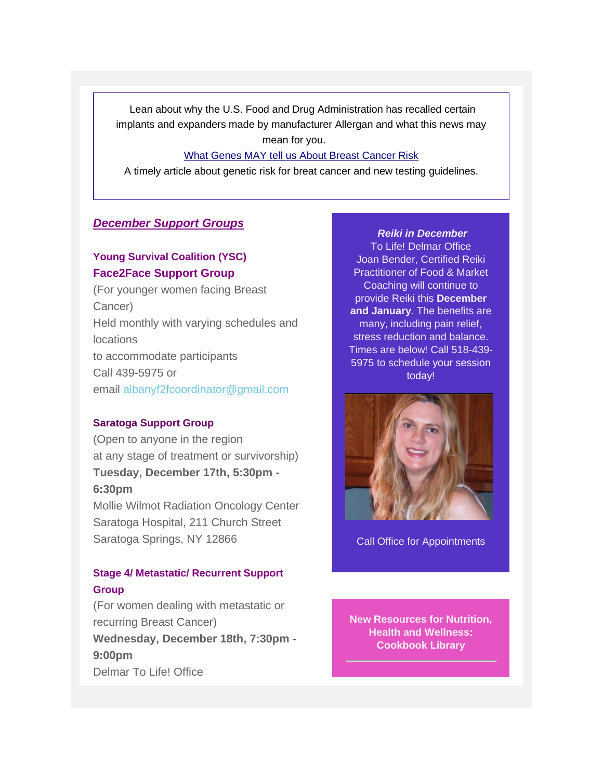Lean about why the U.S. Food and Drug Administration has recalled certain implants and expanders made by manufacturer Allergan and what this news may mean for you.

#### [What Genes MAY tell us About Breast Cancer Risk](https://gallery.mailchimp.com/241d59b897b4121e9d2e15914/files/716eea0c-d256-44a7-8b0f-2de812fb7d8e/What_Genes_MAY_Tell_Us_Newslletter_Fall_2019.pdf)

A timely article about genetic risk for breat cancer and new testing guidelines.

## *December Support Groups*

## *Young Survival Coalition (YSC) Face2Face Support Group*

(For younger women facing Breast Cancer) Held monthly with varying schedules and locations to accommodate participants Call 439-5975 or email [albanyf2fcoordinator@gmail.com](mailto:albanyf2fcoordinator@gmail.com)

#### *Saratoga Support Group*

(Open to anyone in the region at any stage of treatment or survivorship) *Tuesday, December 17th, 5:30pm - 6:30pm* Mollie Wilmot Radiation Oncology Center

Saratoga Hospital, 211 Church Street Saratoga Springs, NY 12866

## *Stage 4/ Metastatic/ Recurrent Support Group*

(For women dealing with metastatic or recurring Breast Cancer) *Wednesday, December 18th, 7:30pm - 9:00pm* Delmar To Life! Office

### *Reiki in December*

To Life! Delmar Office Joan Bender, Certified Reiki Practitioner of Food & Market Coaching will continue to provide Reiki this **December and January**. The benefits are many, including pain relief, stress reduction and balance. Times are below! Call 518-439- 5975 to schedule your session today!



Call Office for Appointments

**New Resources for Nutrition, Health and Wellness: Cookbook Library**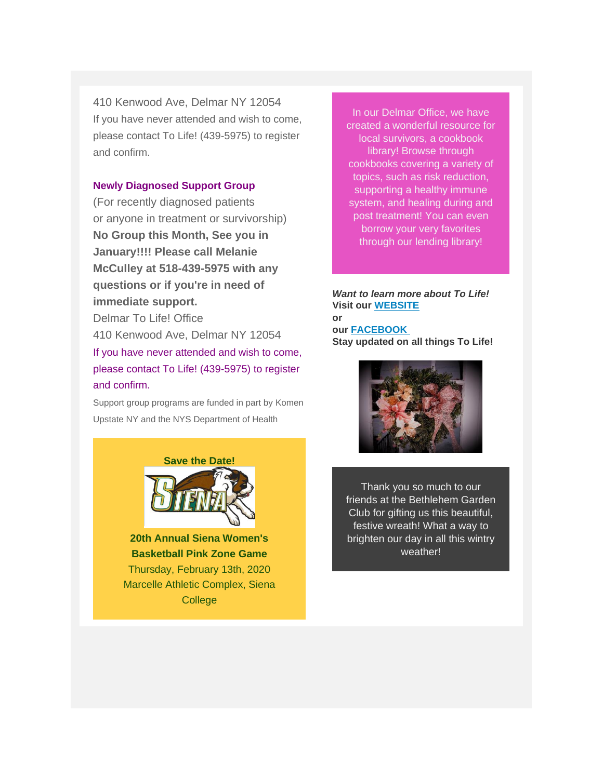410 Kenwood Ave, Delmar NY 12054 If you have never attended and wish to come, please contact To Life! (439-5975) to register and confirm.

#### *Newly Diagnosed Support Group*

(For recently diagnosed patients or anyone in treatment or survivorship) *No Group this Month, See you in January!!!! Please call Melanie McCulley at 518-439-5975 with any questions or if you're in need of immediate support.*

Delmar To Life! Office 410 Kenwood Ave, Delmar NY 12054 If you have never attended and wish to come, please contact To Life! (439-5975) to register and confirm.

*Support group programs are funded in part by Komen Upstate NY and the NYS Department of Health*



**20th Annual Siena Women's Basketball Pink Zone Game** Thursday, February 13th, 2020 Marcelle Athletic Complex, Siena **College** 

In our Delmar Office, we have created a wonderful resource for local survivors, a cookbook library! Browse through cookbooks covering a variety of topics, such as risk reduction, supporting a healthy immune system, and healing during and post treatment! You can even borrow your very favorites through our lending library!

*Want to learn more about To Life!* **Visit our [WEBSITE](https://tolife.org/) or our [FACEBOOK](https://www.facebook.com/ToLifeCares) Stay updated on all things To Life!**



Thank you so much to our friends at the Bethlehem Garden Club for gifting us this beautiful, festive wreath! What a way to brighten our day in all this wintry weather!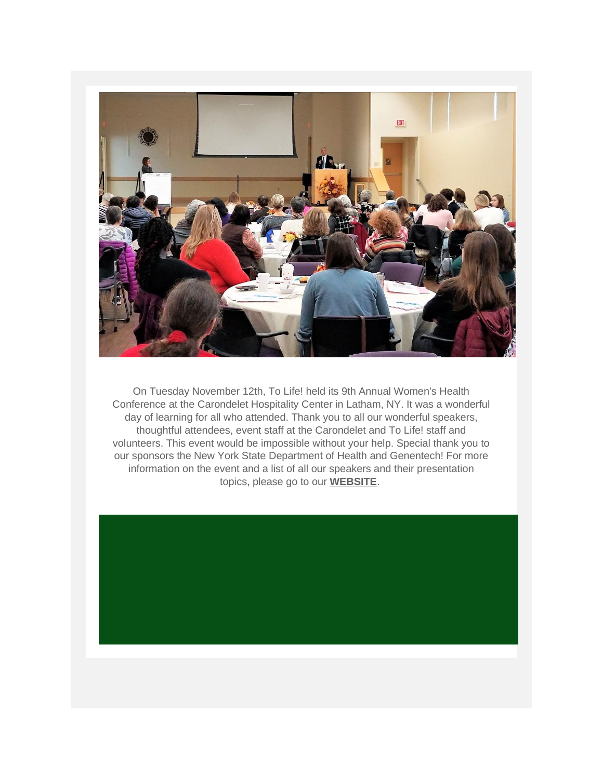

On Tuesday November 12th, To Life! held its 9th Annual Women's Health Conference at the Carondelet Hospitality Center in Latham, NY. It was a wonderful day of learning for all who attended. Thank you to all our wonderful speakers, thoughtful attendees, event staff at the Carondelet and To Life! staff and volunteers. This event would be impossible without your help. Special thank you to our sponsors the New York State Department of Health and Genentech! For more information on the event and a list of all our speakers and their presentation topics, please go to our **[WEBSITE](https://tolife.org/education-and-resources/educational-programs/womens-health-conference)**.